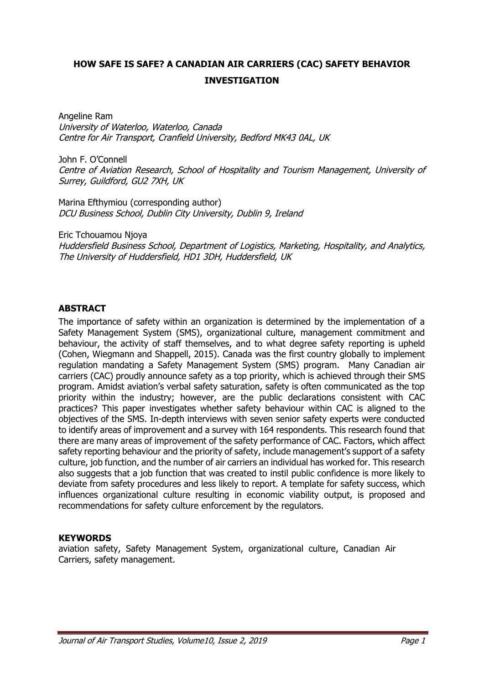# **HOW SAFE IS SAFE? A CANADIAN AIR CARRIERS (CAC) SAFETY BEHAVIOR INVESTIGATION**

Angeline Ram University of Waterloo, Waterloo, Canada Centre for Air Transport, Cranfield University, Bedford MK43 0AL, UK

John F. O'Connell Centre of Aviation Research, School of Hospitality and Tourism Management, University of Surrey, Guildford, GU2 7XH, UK

Marina Efthymiou (corresponding author) DCU Business School, Dublin City University, Dublin 9, Ireland

Eric Tchouamou Njoya Huddersfield Business School, Department of Logistics, Marketing, Hospitality, and Analytics, The University of Huddersfield, HD1 3DH, Huddersfield, UK

#### **ABSTRACT**

The importance of safety within an organization is determined by the implementation of a Safety Management System (SMS), organizational culture, management commitment and behaviour, the activity of staff themselves, and to what degree safety reporting is upheld (Cohen, Wiegmann and Shappell, 2015). Canada was the first country globally to implement regulation mandating a Safety Management System (SMS) program. Many Canadian air carriers (CAC) proudly announce safety as a top priority, which is achieved through their SMS program. Amidst aviation's verbal safety saturation, safety is often communicated as the top priority within the industry; however, are the public declarations consistent with CAC practices? This paper investigates whether safety behaviour within CAC is aligned to the objectives of the SMS. In-depth interviews with seven senior safety experts were conducted to identify areas of improvement and a survey with 164 respondents. This research found that there are many areas of improvement of the safety performance of CAC. Factors, which affect safety reporting behaviour and the priority of safety, include management's support of a safety culture, job function, and the number of air carriers an individual has worked for. This research also suggests that a job function that was created to instil public confidence is more likely to deviate from safety procedures and less likely to report. A template for safety success, which influences organizational culture resulting in economic viability output, is proposed and recommendations for safety culture enforcement by the regulators.

#### **KEYWORDS**

aviation safety, Safety Management System, organizational culture, Canadian Air Carriers, safety management.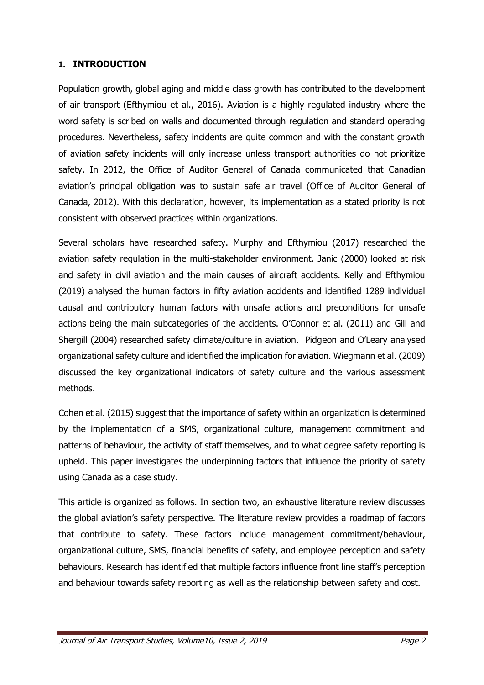#### **1. INTRODUCTION**

Population growth, global aging and middle class growth has contributed to the development of air transport (Efthymiou et al., 2016). Aviation is a highly regulated industry where the word safety is scribed on walls and documented through regulation and standard operating procedures. Nevertheless, safety incidents are quite common and with the constant growth of aviation safety incidents will only increase unless transport authorities do not prioritize safety. In 2012, the Office of Auditor General of Canada communicated that Canadian aviation's principal obligation was to sustain safe air travel (Office of Auditor General of Canada, 2012). With this declaration, however, its implementation as a stated priority is not consistent with observed practices within organizations.

Several scholars have researched safety. Murphy and Efthymiou (2017) researched the aviation safety regulation in the multi-stakeholder environment. Janic (2000) looked at risk and safety in civil aviation and the main causes of aircraft accidents. Kelly and Efthymiou (2019) analysed the human factors in fifty aviation accidents and identified 1289 individual causal and contributory human factors with unsafe actions and preconditions for unsafe actions being the main subcategories of the accidents. O'Connor et al. (2011) and Gill and Shergill (2004) researched safety climate/culture in aviation. Pidgeon and O'Leary analysed organizational safety culture and identified the implication for aviation. Wiegmann et al. (2009) discussed the key organizational indicators of safety culture and the various assessment methods.

Cohen et al. (2015) suggest that the importance of safety within an organization is determined by the implementation of a SMS, organizational culture, management commitment and patterns of behaviour, the activity of staff themselves, and to what degree safety reporting is upheld. This paper investigates the underpinning factors that influence the priority of safety using Canada as a case study.

This article is organized as follows. In section two, an exhaustive literature review discusses the global aviation's safety perspective. The literature review provides a roadmap of factors that contribute to safety. These factors include management commitment/behaviour, organizational culture, SMS, financial benefits of safety, and employee perception and safety behaviours. Research has identified that multiple factors influence front line staff's perception and behaviour towards safety reporting as well as the relationship between safety and cost.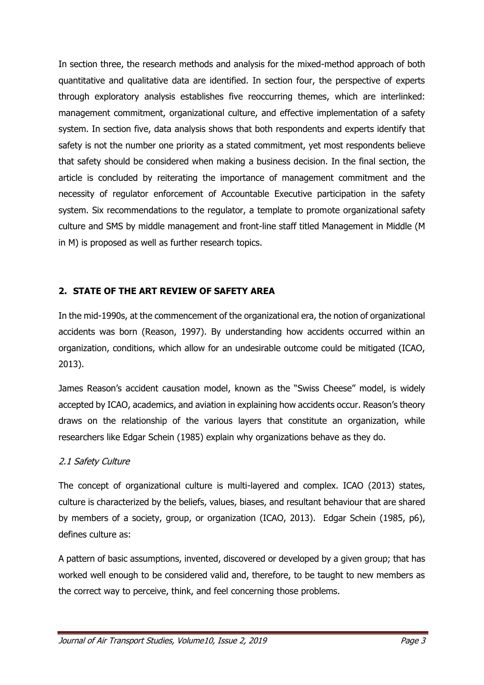In section three, the research methods and analysis for the mixed-method approach of both quantitative and qualitative data are identified. In section four, the perspective of experts through exploratory analysis establishes five reoccurring themes, which are interlinked: management commitment, organizational culture, and effective implementation of a safety system. In section five, data analysis shows that both respondents and experts identify that safety is not the number one priority as a stated commitment, yet most respondents believe that safety should be considered when making a business decision. In the final section, the article is concluded by reiterating the importance of management commitment and the necessity of regulator enforcement of Accountable Executive participation in the safety system. Six recommendations to the regulator, a template to promote organizational safety culture and SMS by middle management and front-line staff titled Management in Middle (M in M) is proposed as well as further research topics.

## **2. STATE OF THE ART REVIEW OF SAFETY AREA**

In the mid-1990s, at the commencement of the organizational era, the notion of organizational accidents was born (Reason, 1997). By understanding how accidents occurred within an organization, conditions, which allow for an undesirable outcome could be mitigated (ICAO, 2013).

James Reason's accident causation model, known as the "Swiss Cheese" model, is widely accepted by ICAO, academics, and aviation in explaining how accidents occur. Reason's theory draws on the relationship of the various layers that constitute an organization, while researchers like Edgar Schein (1985) explain why organizations behave as they do.

## 2.1 Safety Culture

The concept of organizational culture is multi-layered and complex. ICAO (2013) states, culture is characterized by the beliefs, values, biases, and resultant behaviour that are shared by members of a society, group, or organization (ICAO, 2013). Edgar Schein (1985, p6), defines culture as:

A pattern of basic assumptions, invented, discovered or developed by a given group; that has worked well enough to be considered valid and, therefore, to be taught to new members as the correct way to perceive, think, and feel concerning those problems.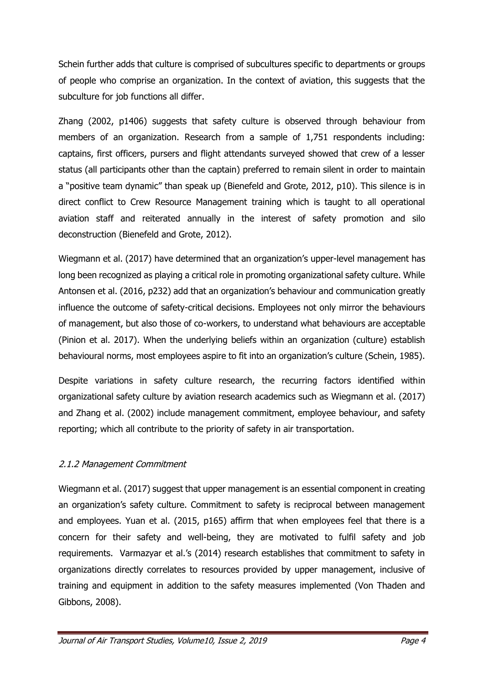Schein further adds that culture is comprised of subcultures specific to departments or groups of people who comprise an organization. In the context of aviation, this suggests that the subculture for job functions all differ.

Zhang (2002, p1406) suggests that safety culture is observed through behaviour from members of an organization. Research from a sample of 1,751 respondents including: captains, first officers, pursers and flight attendants surveyed showed that crew of a lesser status (all participants other than the captain) preferred to remain silent in order to maintain a "positive team dynamic" than speak up (Bienefeld and Grote, 2012, p10). This silence is in direct conflict to Crew Resource Management training which is taught to all operational aviation staff and reiterated annually in the interest of safety promotion and silo deconstruction (Bienefeld and Grote, 2012).

Wiegmann et al. (2017) have determined that an organization's upper-level management has long been recognized as playing a critical role in promoting organizational safety culture. While Antonsen et al. (2016, p232) add that an organization's behaviour and communication greatly influence the outcome of safety-critical decisions. Employees not only mirror the behaviours of management, but also those of co-workers, to understand what behaviours are acceptable (Pinion et al. 2017). When the underlying beliefs within an organization (culture) establish behavioural norms, most employees aspire to fit into an organization's culture (Schein, 1985).

Despite variations in safety culture research, the recurring factors identified within organizational safety culture by aviation research academics such as Wiegmann et al. (2017) and Zhang et al. (2002) include management commitment, employee behaviour, and safety reporting; which all contribute to the priority of safety in air transportation.

## 2.1.2 Management Commitment

Wiegmann et al. (2017) suggest that upper management is an essential component in creating an organization's safety culture. Commitment to safety is reciprocal between management and employees. Yuan et al. (2015, p165) affirm that when employees feel that there is a concern for their safety and well-being, they are motivated to fulfil safety and job requirements. Varmazyar et al.'s (2014) research establishes that commitment to safety in organizations directly correlates to resources provided by upper management, inclusive of training and equipment in addition to the safety measures implemented (Von Thaden and Gibbons, 2008).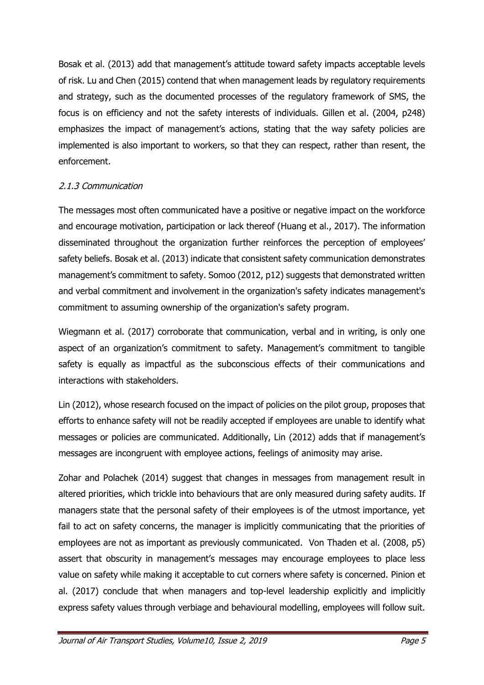Bosak et al. (2013) add that management's attitude toward safety impacts acceptable levels of risk. Lu and Chen (2015) contend that when management leads by regulatory requirements and strategy, such as the documented processes of the regulatory framework of SMS, the focus is on efficiency and not the safety interests of individuals. Gillen et al. (2004, p248) emphasizes the impact of management's actions, stating that the way safety policies are implemented is also important to workers, so that they can respect, rather than resent, the enforcement.

## 2.1.3 Communication

The messages most often communicated have a positive or negative impact on the workforce and encourage motivation, participation or lack thereof (Huang et al., 2017). The information disseminated throughout the organization further reinforces the perception of employees' safety beliefs. Bosak et al. (2013) indicate that consistent safety communication demonstrates management's commitment to safety. Somoo (2012, p12) suggests that demonstrated written and verbal commitment and involvement in the organization's safety indicates management's commitment to assuming ownership of the organization's safety program.

Wiegmann et al. (2017) corroborate that communication, verbal and in writing, is only one aspect of an organization's commitment to safety. Management's commitment to tangible safety is equally as impactful as the subconscious effects of their communications and interactions with stakeholders.

Lin (2012), whose research focused on the impact of policies on the pilot group, proposes that efforts to enhance safety will not be readily accepted if employees are unable to identify what messages or policies are communicated. Additionally, Lin (2012) adds that if management's messages are incongruent with employee actions, feelings of animosity may arise.

Zohar and Polachek (2014) suggest that changes in messages from management result in altered priorities, which trickle into behaviours that are only measured during safety audits. If managers state that the personal safety of their employees is of the utmost importance, yet fail to act on safety concerns, the manager is implicitly communicating that the priorities of employees are not as important as previously communicated. Von Thaden et al. (2008, p5) assert that obscurity in management's messages may encourage employees to place less value on safety while making it acceptable to cut corners where safety is concerned. Pinion et al. (2017) conclude that when managers and top-level leadership explicitly and implicitly express safety values through verbiage and behavioural modelling, employees will follow suit.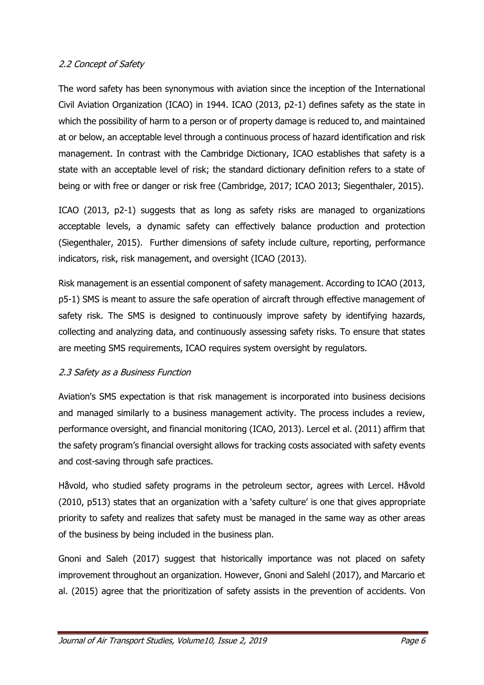## 2.2 Concept of Safety

The word safety has been synonymous with aviation since the inception of the International Civil Aviation Organization (ICAO) in 1944. ICAO (2013, p2-1) defines safety as the state in which the possibility of harm to a person or of property damage is reduced to, and maintained at or below, an acceptable level through a continuous process of hazard identification and risk management. In contrast with the Cambridge Dictionary, ICAO establishes that safety is a state with an acceptable level of risk; the standard dictionary definition refers to a state of being or with free or danger or risk free (Cambridge, 2017; ICAO 2013; Siegenthaler, 2015).

ICAO (2013, p2-1) suggests that as long as safety risks are managed to organizations acceptable levels, a dynamic safety can effectively balance production and protection (Siegenthaler, 2015). Further dimensions of safety include culture, reporting, performance indicators, risk, risk management, and oversight (ICAO (2013).

Risk management is an essential component of safety management. According to ICAO (2013, p5-1) SMS is meant to assure the safe operation of aircraft through effective management of safety risk. The SMS is designed to continuously improve safety by identifying hazards, collecting and analyzing data, and continuously assessing safety risks. To ensure that states are meeting SMS requirements, ICAO requires system oversight by regulators.

## 2.3 Safety as a Business Function

Aviation's SMS expectation is that risk management is incorporated into business decisions and managed similarly to a business management activity. The process includes a review, performance oversight, and financial monitoring (ICAO, 2013). Lercel et al. (2011) affirm that the safety program's financial oversight allows for tracking costs associated with safety events and cost-saving through safe practices.

Håvold, who studied safety programs in the petroleum sector, agrees with Lercel. Håvold (2010, p513) states that an organization with a 'safety culture' is one that gives appropriate priority to safety and realizes that safety must be managed in the same way as other areas of the business by being included in the business plan.

Gnoni and Saleh (2017) suggest that historically importance was not placed on safety improvement throughout an organization. However, Gnoni and Salehl (2017), and Marcario et al. (2015) agree that the prioritization of safety assists in the prevention of accidents. Von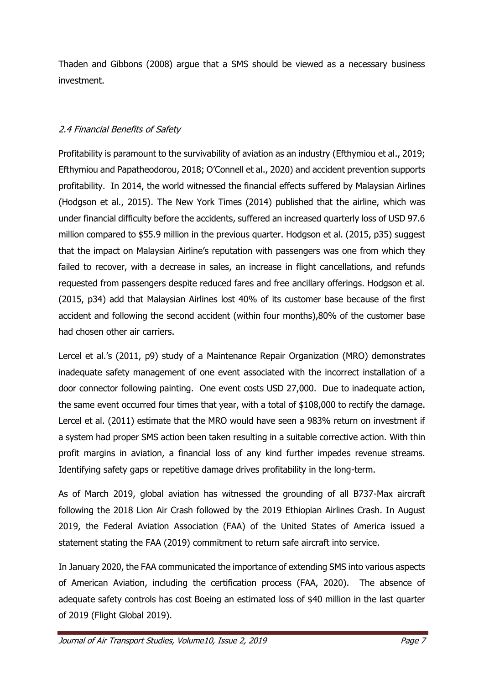Thaden and Gibbons (2008) argue that a SMS should be viewed as a necessary business investment.

## 2.4 Financial Benefits of Safety

Profitability is paramount to the survivability of aviation as an industry (Efthymiou et al., 2019; Efthymiou and Papatheodorou, 2018; O'Connell et al., 2020) and accident prevention supports profitability. In 2014, the world witnessed the financial effects suffered by Malaysian Airlines (Hodgson et al., 2015). The New York Times (2014) published that the airline, which was under financial difficulty before the accidents, suffered an increased quarterly loss of USD 97.6 million compared to \$55.9 million in the previous quarter. Hodgson et al. (2015, p35) suggest that the impact on Malaysian Airline's reputation with passengers was one from which they failed to recover, with a decrease in sales, an increase in flight cancellations, and refunds requested from passengers despite reduced fares and free ancillary offerings. Hodgson et al. (2015, p34) add that Malaysian Airlines lost 40% of its customer base because of the first accident and following the second accident (within four months),80% of the customer base had chosen other air carriers.

Lercel et al.'s (2011, p9) study of a Maintenance Repair Organization (MRO) demonstrates inadequate safety management of one event associated with the incorrect installation of a door connector following painting. One event costs USD 27,000. Due to inadequate action, the same event occurred four times that year, with a total of \$108,000 to rectify the damage. Lercel et al. (2011) estimate that the MRO would have seen a 983% return on investment if a system had proper SMS action been taken resulting in a suitable corrective action. With thin profit margins in aviation, a financial loss of any kind further impedes revenue streams. Identifying safety gaps or repetitive damage drives profitability in the long-term.

As of March 2019, global aviation has witnessed the grounding of all B737-Max aircraft following the 2018 Lion Air Crash followed by the 2019 Ethiopian Airlines Crash. In August 2019, the Federal Aviation Association (FAA) of the United States of America issued a statement stating the FAA (2019) commitment to return safe aircraft into service.

In January 2020, the FAA communicated the importance of extending SMS into various aspects of American Aviation, including the certification process (FAA, 2020). The absence of adequate safety controls has cost Boeing an estimated loss of \$40 million in the last quarter of 2019 (Flight Global 2019).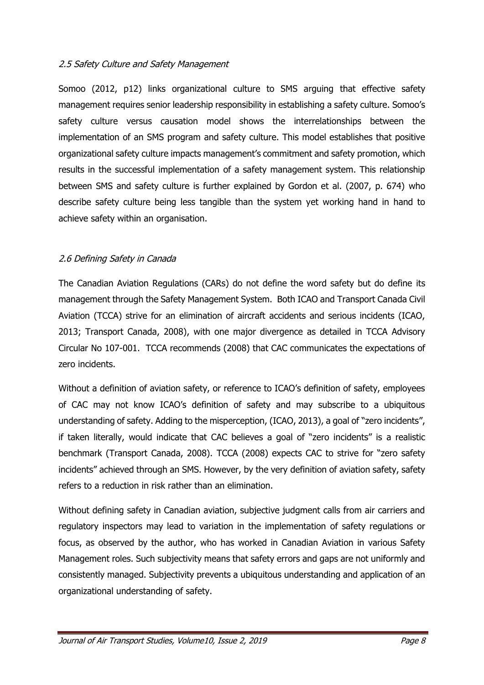### 2.5 Safety Culture and Safety Management

Somoo (2012, p12) links organizational culture to SMS arguing that effective safety management requires senior leadership responsibility in establishing a safety culture. Somoo's safety culture versus causation model shows the interrelationships between the implementation of an SMS program and safety culture. This model establishes that positive organizational safety culture impacts management's commitment and safety promotion, which results in the successful implementation of a safety management system. This relationship between SMS and safety culture is further explained by Gordon et al. (2007, p. 674) who describe safety culture being less tangible than the system yet working hand in hand to achieve safety within an organisation.

### 2.6 Defining Safety in Canada

The Canadian Aviation Regulations (CARs) do not define the word safety but do define its management through the Safety Management System. Both ICAO and Transport Canada Civil Aviation (TCCA) strive for an elimination of aircraft accidents and serious incidents (ICAO, 2013; Transport Canada, 2008), with one major divergence as detailed in TCCA Advisory Circular No 107-001. TCCA recommends (2008) that CAC communicates the expectations of zero incidents.

Without a definition of aviation safety, or reference to ICAO's definition of safety, employees of CAC may not know ICAO's definition of safety and may subscribe to a ubiquitous understanding of safety. Adding to the misperception, (ICAO, 2013), a goal of "zero incidents", if taken literally, would indicate that CAC believes a goal of "zero incidents" is a realistic benchmark (Transport Canada, 2008). TCCA (2008) expects CAC to strive for "zero safety incidents" achieved through an SMS. However, by the very definition of aviation safety, safety refers to a reduction in risk rather than an elimination.

Without defining safety in Canadian aviation, subjective judgment calls from air carriers and regulatory inspectors may lead to variation in the implementation of safety regulations or focus, as observed by the author, who has worked in Canadian Aviation in various Safety Management roles. Such subjectivity means that safety errors and gaps are not uniformly and consistently managed. Subjectivity prevents a ubiquitous understanding and application of an organizational understanding of safety.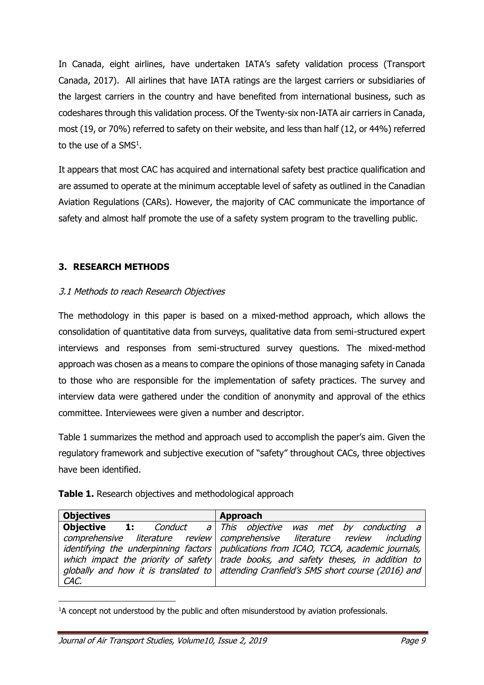In Canada, eight airlines, have undertaken IATA's safety validation process (Transport Canada, 2017). All airlines that have IATA ratings are the largest carriers or subsidiaries of the largest carriers in the country and have benefited from international business, such as codeshares through this validation process. Of the Twenty-six non-IATA air carriers in Canada, most (19, or 70%) referred to safety on their website, and less than half (12, or 44%) referred to the use of a SMS<sup>1</sup>.

It appears that most CAC has acquired and international safety best practice qualification and are assumed to operate at the minimum acceptable level of safety as outlined in the Canadian Aviation Regulations (CARs). However, the majority of CAC communicate the importance of safety and almost half promote the use of a safety system program to the travelling public.

## **3. RESEARCH METHODS**

## 3.1 Methods to reach Research Objectives

The methodology in this paper is based on a mixed-method approach, which allows the consolidation of quantitative data from surveys, qualitative data from semi-structured expert interviews and responses from semi-structured survey questions. The mixed-method approach was chosen as a means to compare the opinions of those managing safety in Canada to those who are responsible for the implementation of safety practices. The survey and interview data were gathered under the condition of anonymity and approval of the ethics committee. Interviewees were given a number and descriptor.

Table 1 summarizes the method and approach used to accomplish the paper's aim. Given the regulatory framework and subjective execution of "safety" throughout CACs, three objectives have been identified.

|  |  |  |  | Table 1. Research objectives and methodological approach |  |
|--|--|--|--|----------------------------------------------------------|--|
|--|--|--|--|----------------------------------------------------------|--|

| <b>Objectives</b> | Approach                                                                                                                                                             |
|-------------------|----------------------------------------------------------------------------------------------------------------------------------------------------------------------|
|                   | <b>Objective</b> 1: <i>Conduct a This objective was met by conducting a</i>                                                                                          |
|                   | comprehensive literature review comprehensive literature review including<br>identifying the underpinning factors   publications from ICAO, TCCA, academic journals, |
|                   | which impact the priority of safety trade books, and safety theses, in addition to                                                                                   |
|                   | globally and how it is translated to attending Cranfield's SMS short course (2016) and                                                                               |
| CAC.              |                                                                                                                                                                      |

<sup>&</sup>lt;sup>1</sup>A concept not understood by the public and often misunderstood by aviation professionals.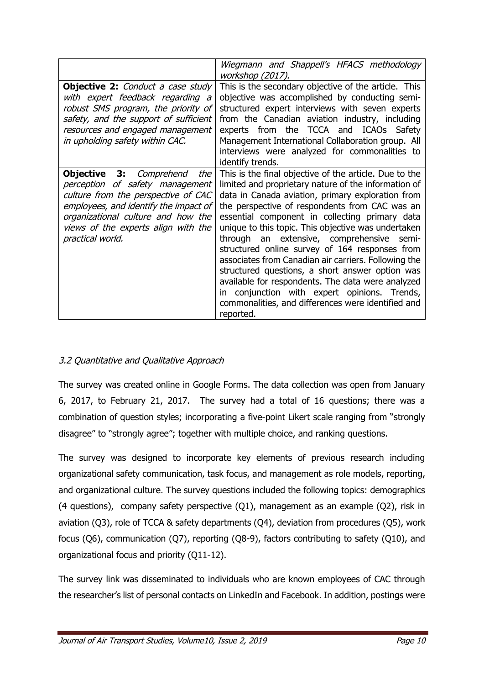|                                                                                                                                                                                                                                                              | Wiegmann and Shappell's HFACS methodology<br>workshop (2017).                                                                                                                                                                                                                                                                                                                                                                                                                                                                                                                                                                                                                                                        |
|--------------------------------------------------------------------------------------------------------------------------------------------------------------------------------------------------------------------------------------------------------------|----------------------------------------------------------------------------------------------------------------------------------------------------------------------------------------------------------------------------------------------------------------------------------------------------------------------------------------------------------------------------------------------------------------------------------------------------------------------------------------------------------------------------------------------------------------------------------------------------------------------------------------------------------------------------------------------------------------------|
| <b>Objective 2:</b> Conduct a case study<br>with expert feedback regarding a<br>robust SMS program, the priority of<br>safety, and the support of sufficient<br>resources and engaged management<br>in upholding safety within CAC.                          | This is the secondary objective of the article. This<br>objective was accomplished by conducting semi-<br>structured expert interviews with seven experts<br>from the Canadian aviation industry, including<br>experts from the TCCA and ICAOs Safety<br>Management International Collaboration group. All<br>interviews were analyzed for commonalities to<br>identify trends.                                                                                                                                                                                                                                                                                                                                      |
| <b>Objective 3:</b><br>Comprehend<br>the<br>perception of safety management<br>culture from the perspective of CAC<br>employees, and identify the impact of<br>organizational culture and how the<br>views of the experts align with the<br>practical world. | This is the final objective of the article. Due to the<br>limited and proprietary nature of the information of<br>data in Canada aviation, primary exploration from<br>the perspective of respondents from CAC was an<br>essential component in collecting primary data<br>unique to this topic. This objective was undertaken<br>through an extensive, comprehensive semi-<br>structured online survey of 164 responses from<br>associates from Canadian air carriers. Following the<br>structured questions, a short answer option was<br>available for respondents. The data were analyzed<br>conjunction with expert opinions. Trends,<br>in.<br>commonalities, and differences were identified and<br>reported. |

## 3.2 Quantitative and Qualitative Approach

The survey was created online in Google Forms. The data collection was open from January 6, 2017, to February 21, 2017. The survey had a total of 16 questions; there was a combination of question styles; incorporating a five-point Likert scale ranging from "strongly disagree" to "strongly agree"; together with multiple choice, and ranking questions.

The survey was designed to incorporate key elements of previous research including organizational safety communication, task focus, and management as role models, reporting, and organizational culture. The survey questions included the following topics: demographics (4 questions), company safety perspective (Q1), management as an example (Q2), risk in aviation (Q3), role of TCCA & safety departments (Q4), deviation from procedures (Q5), work focus (Q6), communication (Q7), reporting (Q8-9), factors contributing to safety (Q10), and organizational focus and priority (Q11-12).

The survey link was disseminated to individuals who are known employees of CAC through the researcher's list of personal contacts on LinkedIn and Facebook. In addition, postings were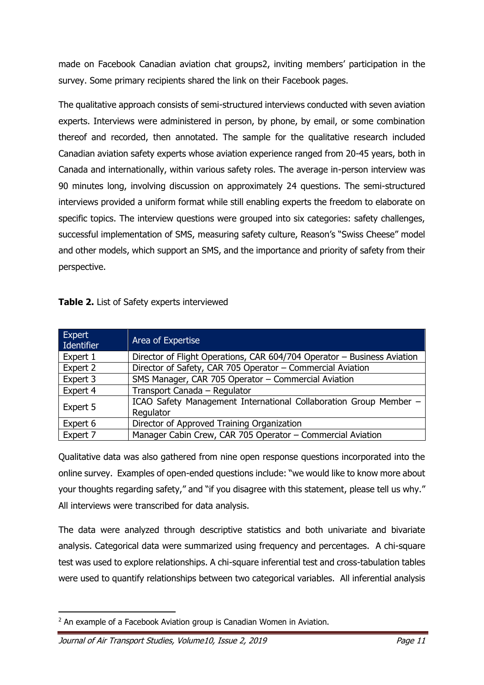made on Facebook Canadian aviation chat groups2, inviting members' participation in the survey. Some primary recipients shared the link on their Facebook pages.

The qualitative approach consists of semi-structured interviews conducted with seven aviation experts. Interviews were administered in person, by phone, by email, or some combination thereof and recorded, then annotated. The sample for the qualitative research included Canadian aviation safety experts whose aviation experience ranged from 20-45 years, both in Canada and internationally, within various safety roles. The average in-person interview was 90 minutes long, involving discussion on approximately 24 questions. The semi-structured interviews provided a uniform format while still enabling experts the freedom to elaborate on specific topics. The interview questions were grouped into six categories: safety challenges, successful implementation of SMS, measuring safety culture, Reason's "Swiss Cheese" model and other models, which support an SMS, and the importance and priority of safety from their perspective.

| Table 2. List of Safety experts interviewed |  |
|---------------------------------------------|--|
|---------------------------------------------|--|

| Expert<br>Identifier | Area of Expertise                                                              |
|----------------------|--------------------------------------------------------------------------------|
| Expert 1             | Director of Flight Operations, CAR 604/704 Operator - Business Aviation        |
| Expert 2             | Director of Safety, CAR 705 Operator - Commercial Aviation                     |
| Expert 3             | SMS Manager, CAR 705 Operator - Commercial Aviation                            |
| Expert 4             | Transport Canada - Regulator                                                   |
| Expert 5             | ICAO Safety Management International Collaboration Group Member -<br>Regulator |
| Expert 6             | Director of Approved Training Organization                                     |
| Expert 7             | Manager Cabin Crew, CAR 705 Operator - Commercial Aviation                     |

Qualitative data was also gathered from nine open response questions incorporated into the online survey. Examples of open-ended questions include: "we would like to know more about your thoughts regarding safety," and "if you disagree with this statement, please tell us why." All interviews were transcribed for data analysis.

The data were analyzed through descriptive statistics and both univariate and bivariate analysis. Categorical data were summarized using frequency and percentages. A chi-square test was used to explore relationships. A chi-square inferential test and cross-tabulation tables were used to quantify relationships between two categorical variables. All inferential analysis

<sup>&</sup>lt;sup>2</sup> An example of a Facebook Aviation group is Canadian Women in Aviation.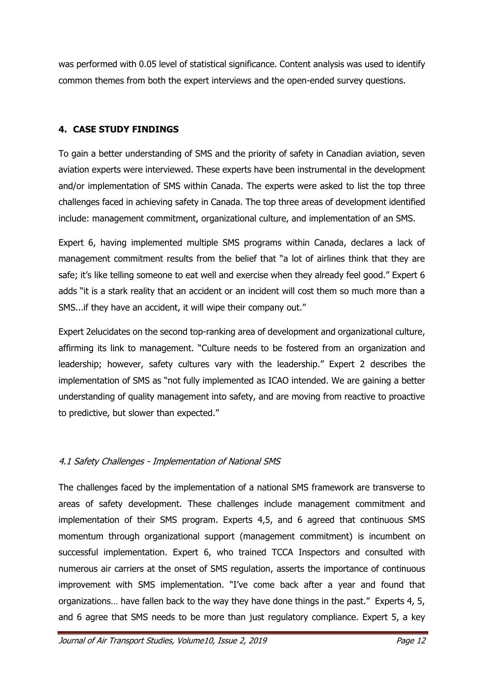was performed with 0.05 level of statistical significance. Content analysis was used to identify common themes from both the expert interviews and the open-ended survey questions.

## **4. CASE STUDY FINDINGS**

To gain a better understanding of SMS and the priority of safety in Canadian aviation, seven aviation experts were interviewed. These experts have been instrumental in the development and/or implementation of SMS within Canada. The experts were asked to list the top three challenges faced in achieving safety in Canada. The top three areas of development identified include: management commitment, organizational culture, and implementation of an SMS.

Expert 6, having implemented multiple SMS programs within Canada, declares a lack of management commitment results from the belief that "a lot of airlines think that they are safe; it's like telling someone to eat well and exercise when they already feel good." Expert 6 adds "it is a stark reality that an accident or an incident will cost them so much more than a SMS...if they have an accident, it will wipe their company out."

Expert 2elucidates on the second top-ranking area of development and organizational culture, affirming its link to management. "Culture needs to be fostered from an organization and leadership; however, safety cultures vary with the leadership." Expert 2 describes the implementation of SMS as "not fully implemented as ICAO intended. We are gaining a better understanding of quality management into safety, and are moving from reactive to proactive to predictive, but slower than expected."

## 4.1 Safety Challenges - Implementation of National SMS

The challenges faced by the implementation of a national SMS framework are transverse to areas of safety development. These challenges include management commitment and implementation of their SMS program. Experts 4,5, and 6 agreed that continuous SMS momentum through organizational support (management commitment) is incumbent on successful implementation. Expert 6, who trained TCCA Inspectors and consulted with numerous air carriers at the onset of SMS regulation, asserts the importance of continuous improvement with SMS implementation. "I've come back after a year and found that organizations… have fallen back to the way they have done things in the past." Experts 4, 5, and 6 agree that SMS needs to be more than just regulatory compliance. Expert 5, a key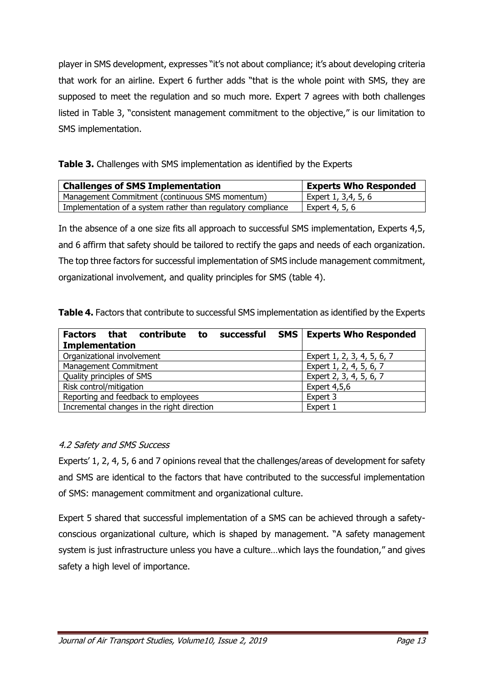player in SMS development, expresses "it's not about compliance; it's about developing criteria that work for an airline. Expert 6 further adds "that is the whole point with SMS, they are supposed to meet the regulation and so much more. Expert 7 agrees with both challenges listed in Table 3, "consistent management commitment to the objective," is our limitation to SMS implementation.

| Table 3. Challenges with SMS implementation as identified by the Experts |
|--------------------------------------------------------------------------|
|--------------------------------------------------------------------------|

| <b>Challenges of SMS Implementation</b>                      | <b>Experts Who Responded</b> |
|--------------------------------------------------------------|------------------------------|
| Management Commitment (continuous SMS momentum)              | Expert 1, 3,4, 5, 6          |
| Implementation of a system rather than regulatory compliance | Expert 4, 5, 6               |

In the absence of a one size fits all approach to successful SMS implementation, Experts 4,5, and 6 affirm that safety should be tailored to rectify the gaps and needs of each organization. The top three factors for successful implementation of SMS include management commitment, organizational involvement, and quality principles for SMS (table 4).

| Table 4. Factors that contribute to successful SMS implementation as identified by the Experts |  |  |
|------------------------------------------------------------------------------------------------|--|--|
|------------------------------------------------------------------------------------------------|--|--|

| Factors that contribute to<br>successful   | <b>SMS   Experts Who Responded</b> |
|--------------------------------------------|------------------------------------|
| <b>Implementation</b>                      |                                    |
| Organizational involvement                 | Expert 1, 2, 3, 4, 5, 6, 7         |
| Management Commitment                      | Expert 1, 2, 4, 5, 6, 7            |
| Quality principles of SMS                  | Expert 2, 3, 4, 5, 6, 7            |
| Risk control/mitigation                    | Expert $4,5,6$                     |
| Reporting and feedback to employees        | Expert 3                           |
| Incremental changes in the right direction | Expert 1                           |

## 4.2 Safety and SMS Success

Experts' 1, 2, 4, 5, 6 and 7 opinions reveal that the challenges/areas of development for safety and SMS are identical to the factors that have contributed to the successful implementation of SMS: management commitment and organizational culture.

Expert 5 shared that successful implementation of a SMS can be achieved through a safetyconscious organizational culture, which is shaped by management. "A safety management system is just infrastructure unless you have a culture…which lays the foundation," and gives safety a high level of importance.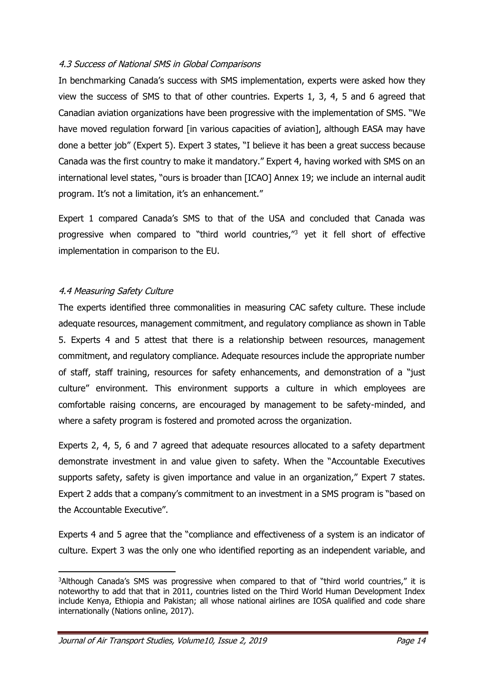#### 4.3 Success of National SMS in Global Comparisons

In benchmarking Canada's success with SMS implementation, experts were asked how they view the success of SMS to that of other countries. Experts 1, 3, 4, 5 and 6 agreed that Canadian aviation organizations have been progressive with the implementation of SMS. "We have moved regulation forward [in various capacities of aviation], although EASA may have done a better job" (Expert 5). Expert 3 states, "I believe it has been a great success because Canada was the first country to make it mandatory." Expert 4, having worked with SMS on an international level states, "ours is broader than [ICAO] Annex 19; we include an internal audit program. It's not a limitation, it's an enhancement."

Expert 1 compared Canada's SMS to that of the USA and concluded that Canada was progressive when compared to "third world countries,"<sup>3</sup> yet it fell short of effective implementation in comparison to the EU.

### 4.4 Measuring Safety Culture

The experts identified three commonalities in measuring CAC safety culture. These include adequate resources, management commitment, and regulatory compliance as shown in Table 5. Experts 4 and 5 attest that there is a relationship between resources, management commitment, and regulatory compliance. Adequate resources include the appropriate number of staff, staff training, resources for safety enhancements, and demonstration of a "just culture" environment. This environment supports a culture in which employees are comfortable raising concerns, are encouraged by management to be safety-minded, and where a safety program is fostered and promoted across the organization.

Experts 2, 4, 5, 6 and 7 agreed that adequate resources allocated to a safety department demonstrate investment in and value given to safety. When the "Accountable Executives supports safety, safety is given importance and value in an organization," Expert 7 states. Expert 2 adds that a company's commitment to an investment in a SMS program is "based on the Accountable Executive".

Experts 4 and 5 agree that the "compliance and effectiveness of a system is an indicator of culture. Expert 3 was the only one who identified reporting as an independent variable, and

<sup>&</sup>lt;sup>3</sup>Although Canada's SMS was progressive when compared to that of "third world countries," it is noteworthy to add that that in 2011, countries listed on the Third World Human Development Index include Kenya, Ethiopia and Pakistan; all whose national airlines are IOSA qualified and code share internationally (Nations online, 2017).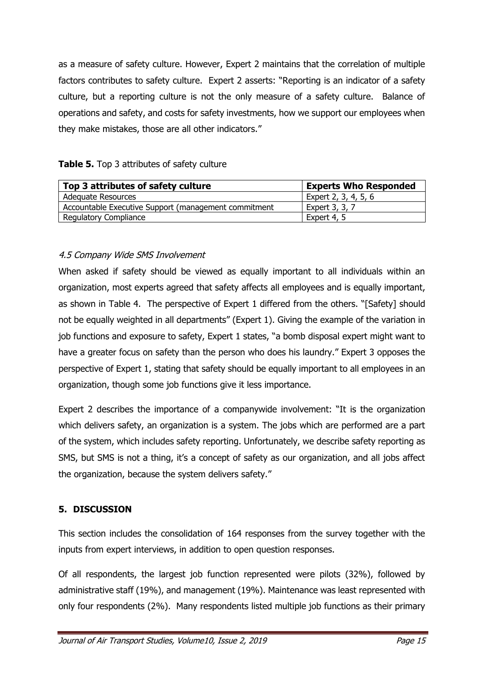as a measure of safety culture. However, Expert 2 maintains that the correlation of multiple factors contributes to safety culture. Expert 2 asserts: "Reporting is an indicator of a safety culture, but a reporting culture is not the only measure of a safety culture. Balance of operations and safety, and costs for safety investments, how we support our employees when they make mistakes, those are all other indicators."

|  |  | Table 5. Top 3 attributes of safety culture |  |  |
|--|--|---------------------------------------------|--|--|
|--|--|---------------------------------------------|--|--|

| Top 3 attributes of safety culture                   | <b>Experts Who Responded</b> |
|------------------------------------------------------|------------------------------|
| Adequate Resources                                   | Expert 2, 3, 4, 5, 6         |
| Accountable Executive Support (management commitment | Expert 3, 3, 7               |
| <b>Regulatory Compliance</b>                         | Expert 4, 5                  |

## 4.5 Company Wide SMS Involvement

When asked if safety should be viewed as equally important to all individuals within an organization, most experts agreed that safety affects all employees and is equally important, as shown in Table 4. The perspective of Expert 1 differed from the others. "[Safety] should not be equally weighted in all departments" (Expert 1). Giving the example of the variation in job functions and exposure to safety, Expert 1 states, "a bomb disposal expert might want to have a greater focus on safety than the person who does his laundry." Expert 3 opposes the perspective of Expert 1, stating that safety should be equally important to all employees in an organization, though some job functions give it less importance.

Expert 2 describes the importance of a companywide involvement: "It is the organization which delivers safety, an organization is a system. The jobs which are performed are a part of the system, which includes safety reporting. Unfortunately, we describe safety reporting as SMS, but SMS is not a thing, it's a concept of safety as our organization, and all jobs affect the organization, because the system delivers safety."

## **5. DISCUSSION**

This section includes the consolidation of 164 responses from the survey together with the inputs from expert interviews, in addition to open question responses.

Of all respondents, the largest job function represented were pilots (32%), followed by administrative staff (19%), and management (19%). Maintenance was least represented with only four respondents (2%). Many respondents listed multiple job functions as their primary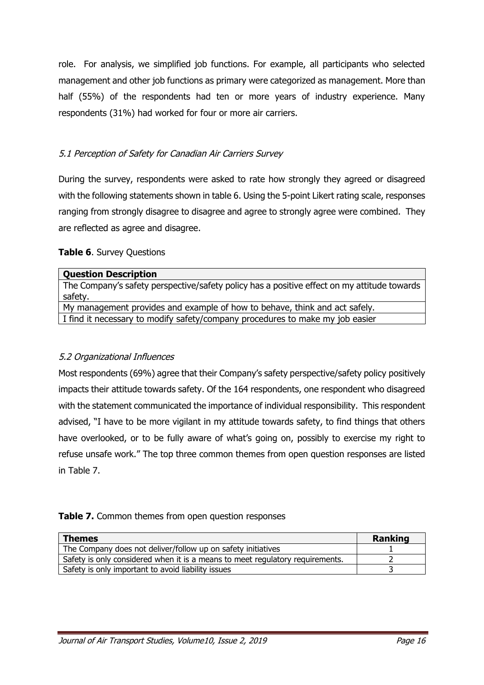role. For analysis, we simplified job functions. For example, all participants who selected management and other job functions as primary were categorized as management. More than half (55%) of the respondents had ten or more years of industry experience. Many respondents (31%) had worked for four or more air carriers.

## 5.1 Perception of Safety for Canadian Air Carriers Survey

During the survey, respondents were asked to rate how strongly they agreed or disagreed with the following statements shown in table 6. Using the 5-point Likert rating scale, responses ranging from strongly disagree to disagree and agree to strongly agree were combined. They are reflected as agree and disagree.

## **Table 6**. Survey Questions

| <b>Question Description</b>                                                                 |
|---------------------------------------------------------------------------------------------|
| The Company's safety perspective/safety policy has a positive effect on my attitude towards |
| safety.                                                                                     |
| My management provides and example of how to behave, think and act safely.                  |
| I find it necessary to modify safety/company procedures to make my job easier               |

## 5.2 Organizational Influences

Most respondents (69%) agree that their Company's safety perspective/safety policy positively impacts their attitude towards safety. Of the 164 respondents, one respondent who disagreed with the statement communicated the importance of individual responsibility. This respondent advised, "I have to be more vigilant in my attitude towards safety, to find things that others have overlooked, or to be fully aware of what's going on, possibly to exercise my right to refuse unsafe work." The top three common themes from open question responses are listed in Table 7.

#### **Table 7.** Common themes from open question responses

| <b>Themes</b>                                                                 | <b>Ranking</b> |
|-------------------------------------------------------------------------------|----------------|
| The Company does not deliver/follow up on safety initiatives                  |                |
| Safety is only considered when it is a means to meet regulatory requirements. |                |
| Safety is only important to avoid liability issues                            |                |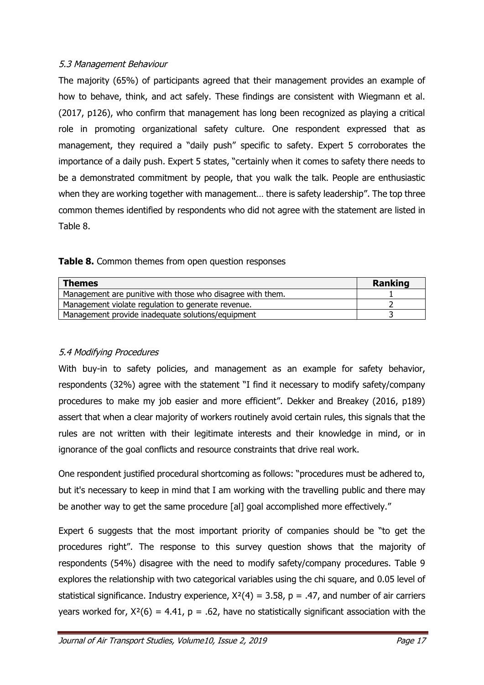## 5.3 Management Behaviour

The majority (65%) of participants agreed that their management provides an example of how to behave, think, and act safely. These findings are consistent with Wiegmann et al. (2017, p126), who confirm that management has long been recognized as playing a critical role in promoting organizational safety culture. One respondent expressed that as management, they required a "daily push" specific to safety. Expert 5 corroborates the importance of a daily push. Expert 5 states, "certainly when it comes to safety there needs to be a demonstrated commitment by people, that you walk the talk. People are enthusiastic when they are working together with management… there is safety leadership". The top three common themes identified by respondents who did not agree with the statement are listed in Table 8.

| <b>Themes</b>                                              | Ranking |
|------------------------------------------------------------|---------|
| Management are punitive with those who disagree with them. |         |
| Management violate regulation to generate revenue.         |         |
| Management provide inadequate solutions/equipment          |         |

## 5.4 Modifying Procedures

With buy-in to safety policies, and management as an example for safety behavior, respondents (32%) agree with the statement "I find it necessary to modify safety/company procedures to make my job easier and more efficient". Dekker and Breakey (2016, p189) assert that when a clear majority of workers routinely avoid certain rules, this signals that the rules are not written with their legitimate interests and their knowledge in mind, or in ignorance of the goal conflicts and resource constraints that drive real work.

One respondent justified procedural shortcoming as follows: "procedures must be adhered to, but it's necessary to keep in mind that I am working with the travelling public and there may be another way to get the same procedure [al] goal accomplished more effectively."

Expert 6 suggests that the most important priority of companies should be "to get the procedures right". The response to this survey question shows that the majority of respondents (54%) disagree with the need to modify safety/company procedures. Table 9 explores the relationship with two categorical variables using the chi square, and 0.05 level of statistical significance. Industry experience,  $X^2(4) = 3.58$ , p = .47, and number of air carriers years worked for,  $X^2(6) = 4.41$ ,  $p = .62$ , have no statistically significant association with the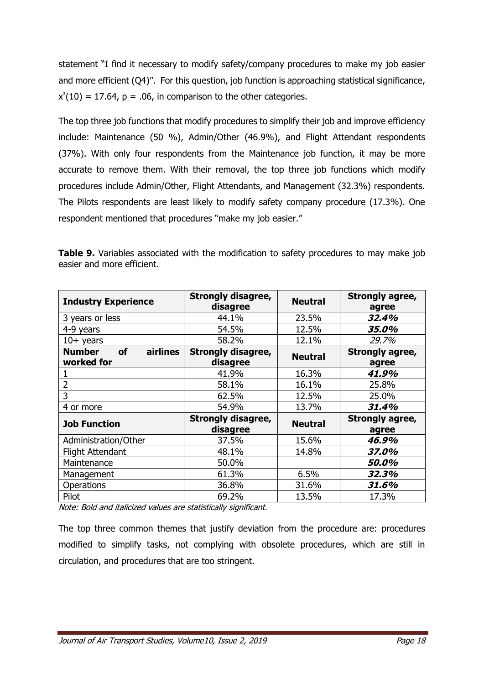statement "I find it necessary to modify safety/company procedures to make my job easier and more efficient (Q4)". For this question, job function is approaching statistical significance,  $x^2(10) = 17.64$ ,  $p = .06$ , in comparison to the other categories.

The top three job functions that modify procedures to simplify their job and improve efficiency include: Maintenance (50 %), Admin/Other (46.9%), and Flight Attendant respondents (37%). With only four respondents from the Maintenance job function, it may be more accurate to remove them. With their removal, the top three job functions which modify procedures include Admin/Other, Flight Attendants, and Management (32.3%) respondents. The Pilots respondents are least likely to modify safety company procedure (17.3%). One respondent mentioned that procedures "make my job easier."

| <b>Industry Experience</b>                           | <b>Strongly disagree,</b><br>disagree | <b>Neutral</b> | Strongly agree,<br>agree |  |
|------------------------------------------------------|---------------------------------------|----------------|--------------------------|--|
| 3 years or less                                      | 44.1%                                 | 23.5%          | 32,4%                    |  |
| 4-9 years                                            | 54.5%                                 | 12.5%          | 35.0%                    |  |
| $10+$ years                                          | 58.2%                                 | 12.1%          | 29.7%                    |  |
| <b>Number</b><br><b>of</b><br>airlines<br>worked for | <b>Strongly disagree,</b><br>disagree | <b>Neutral</b> | Strongly agree,<br>agree |  |
|                                                      | 41.9%                                 | 16.3%          | 41.9%                    |  |
| $\overline{2}$                                       | 58.1%                                 | 16.1%          | 25.8%                    |  |
| 3                                                    | 62.5%                                 | 12.5%          | 25.0%                    |  |
| 4 or more                                            | 54.9%                                 | 13.7%          | 31.4%                    |  |
| <b>Job Function</b>                                  | <b>Strongly disagree,</b><br>disagree | <b>Neutral</b> | Strongly agree,<br>agree |  |
| Administration/Other                                 | 37.5%                                 | 15.6%          | 46.9%                    |  |
| <b>Flight Attendant</b>                              | 48.1%                                 | 14.8%          | 37.0%                    |  |
| Maintenance                                          | 50.0%                                 |                | 50.0%                    |  |
| Management                                           | 61.3%                                 | 6.5%           | 32.3%                    |  |
| Operations                                           | 36.8%                                 | 31.6%          | 31.6%                    |  |
| Pilot                                                | 69.2%                                 | 13.5%          | 17.3%                    |  |

**Table 9.** Variables associated with the modification to safety procedures to may make job easier and more efficient.

Note: Bold and italicized values are statistically significant.

The top three common themes that justify deviation from the procedure are: procedures modified to simplify tasks, not complying with obsolete procedures, which are still in circulation, and procedures that are too stringent.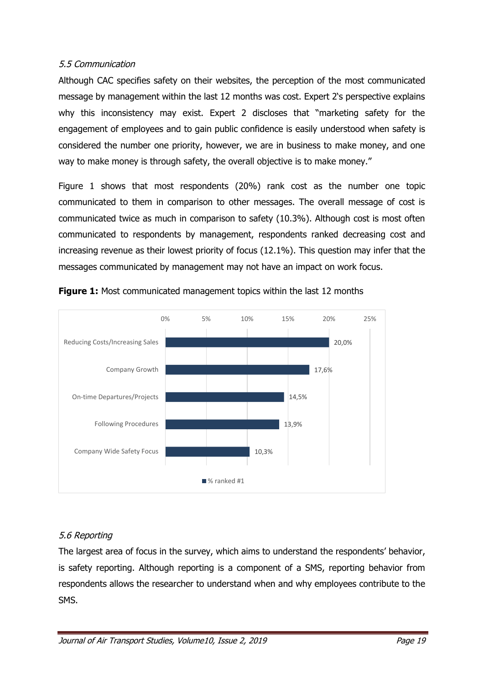### 5.5 Communication

Although CAC specifies safety on their websites, the perception of the most communicated message by management within the last 12 months was cost. Expert 2's perspective explains why this inconsistency may exist. Expert 2 discloses that "marketing safety for the engagement of employees and to gain public confidence is easily understood when safety is considered the number one priority, however, we are in business to make money, and one way to make money is through safety, the overall objective is to make money."

Figure 1 shows that most respondents (20%) rank cost as the number one topic communicated to them in comparison to other messages. The overall message of cost is communicated twice as much in comparison to safety (10.3%). Although cost is most often communicated to respondents by management, respondents ranked decreasing cost and increasing revenue as their lowest priority of focus (12.1%). This question may infer that the messages communicated by management may not have an impact on work focus.





## 5.6 Reporting

The largest area of focus in the survey, which aims to understand the respondents' behavior, is safety reporting. Although reporting is a component of a SMS, reporting behavior from respondents allows the researcher to understand when and why employees contribute to the SMS.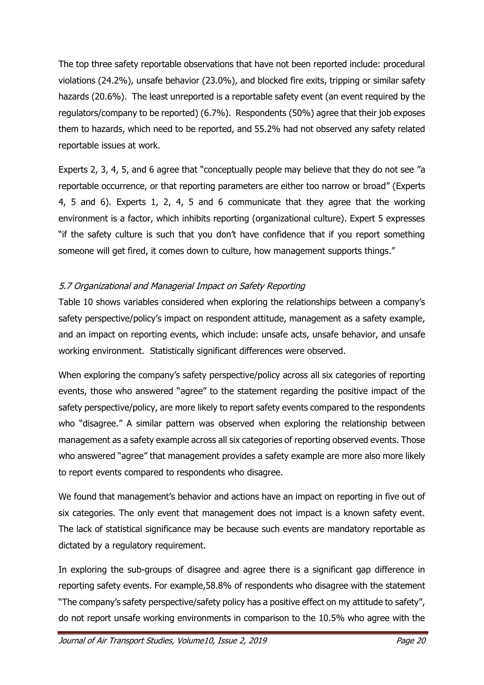The top three safety reportable observations that have not been reported include: procedural violations (24.2%), unsafe behavior (23.0%), and blocked fire exits, tripping or similar safety hazards (20.6%). The least unreported is a reportable safety event (an event required by the regulators/company to be reported) (6.7%). Respondents (50%) agree that their job exposes them to hazards, which need to be reported, and 55.2% had not observed any safety related reportable issues at work.

Experts 2, 3, 4, 5, and 6 agree that "conceptually people may believe that they do not see "a reportable occurrence, or that reporting parameters are either too narrow or broad" (Experts 4, 5 and 6). Experts 1, 2, 4, 5 and 6 communicate that they agree that the working environment is a factor, which inhibits reporting (organizational culture). Expert 5 expresses "if the safety culture is such that you don't have confidence that if you report something someone will get fired, it comes down to culture, how management supports things."

## 5.7 Organizational and Managerial Impact on Safety Reporting

Table 10 shows variables considered when exploring the relationships between a company's safety perspective/policy's impact on respondent attitude, management as a safety example, and an impact on reporting events, which include: unsafe acts, unsafe behavior, and unsafe working environment. Statistically significant differences were observed.

When exploring the company's safety perspective/policy across all six categories of reporting events, those who answered "agree" to the statement regarding the positive impact of the safety perspective/policy, are more likely to report safety events compared to the respondents who "disagree." A similar pattern was observed when exploring the relationship between management as a safety example across all six categories of reporting observed events. Those who answered "agree" that management provides a safety example are more also more likely to report events compared to respondents who disagree.

We found that management's behavior and actions have an impact on reporting in five out of six categories. The only event that management does not impact is a known safety event. The lack of statistical significance may be because such events are mandatory reportable as dictated by a regulatory requirement.

In exploring the sub-groups of disagree and agree there is a significant gap difference in reporting safety events. For example,58.8% of respondents who disagree with the statement "The company's safety perspective/safety policy has a positive effect on my attitude to safety", do not report unsafe working environments in comparison to the 10.5% who agree with the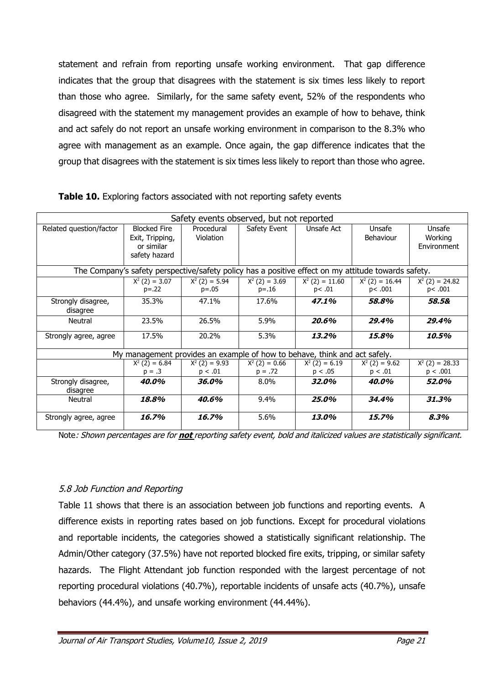statement and refrain from reporting unsafe working environment. That gap difference indicates that the group that disagrees with the statement is six times less likely to report than those who agree. Similarly, for the same safety event, 52% of the respondents who disagreed with the statement my management provides an example of how to behave, think and act safely do not report an unsafe working environment in comparison to the 8.3% who agree with management as an example. Once again, the gap difference indicates that the group that disagrees with the statement is six times less likely to report than those who agree.

| Safety events observed, but not reported |                                                                       |                                                                                                     |                               |                             |                             |                                  |
|------------------------------------------|-----------------------------------------------------------------------|-----------------------------------------------------------------------------------------------------|-------------------------------|-----------------------------|-----------------------------|----------------------------------|
| Related question/factor                  | <b>Blocked Fire</b><br>Exit, Tripping,<br>or similar<br>safety hazard | Procedural<br>Violation                                                                             | Safety Event                  | Unsafe Act                  | Unsafe<br>Behaviour         | Unsafe<br>Working<br>Environment |
|                                          |                                                                       | The Company's safety perspective/safety policy has a positive effect on my attitude towards safety. |                               |                             |                             |                                  |
|                                          | $X^2$ (2) = 3.07<br>$p = .22$                                         | $X^2$ (2) = 5.94<br>$p = .05$                                                                       | $X^2$ (2) = 3.69<br>$p = 16$  | $X^2$ (2) = 11.60<br>p<.01  | $X^2$ (2) = 16.44<br>p<.001 | $X^2$ (2) = 24.82<br>p<.001      |
| Strongly disagree,<br>disagree           | 35.3%                                                                 | 47.1%                                                                                               | 17.6%                         | 47.1%                       | 58.8%                       | 58.5&                            |
| Neutral                                  | 23.5%                                                                 | 26.5%                                                                                               | 5.9%                          | 20.6%                       | 29.4%                       | 29.4%                            |
| Strongly agree, agree                    | 17.5%                                                                 | 20.2%                                                                                               | 5.3%                          | 13.2%                       | 15.8%                       | 10.5%                            |
|                                          |                                                                       | My management provides an example of how to behave, think and act safely.                           |                               |                             |                             |                                  |
|                                          | $X^2$ (2) = 6.84<br>$p = .3$                                          | $X^2$ (2) = 9.93<br>p < .01                                                                         | $X^2$ (2) = 0.66<br>$p = .72$ | $X^2$ (2) = 6.19<br>p < .05 | $X^2$ (2) = 9.62<br>p < .01 | $X^2$ (2) = 28.33<br>p < .001    |
| Strongly disagree,<br>disagree           | 40.0%                                                                 | 36.0%                                                                                               | $8.0\%$                       | 32.0%                       | 40.0%                       | 52.0%                            |
| Neutral                                  | 18.8%                                                                 | 40.6%                                                                                               | 9.4%                          | 25.0%                       | 34.4%                       | 31.3%                            |
| Strongly agree, agree                    | 16.7%                                                                 | 16.7%                                                                                               | 5.6%                          | 13.0%                       | 15.7%                       | 8.3%                             |

**Table 10.** Exploring factors associated with not reporting safety events

Note: Shown percentages are for **not** reporting safety event, bold and italicized values are statistically significant.

#### 5.8 Job Function and Reporting

Table 11 shows that there is an association between job functions and reporting events. A difference exists in reporting rates based on job functions. Except for procedural violations and reportable incidents, the categories showed a statistically significant relationship. The Admin/Other category (37.5%) have not reported blocked fire exits, tripping, or similar safety hazards. The Flight Attendant job function responded with the largest percentage of not reporting procedural violations (40.7%), reportable incidents of unsafe acts (40.7%), unsafe behaviors (44.4%), and unsafe working environment (44.44%).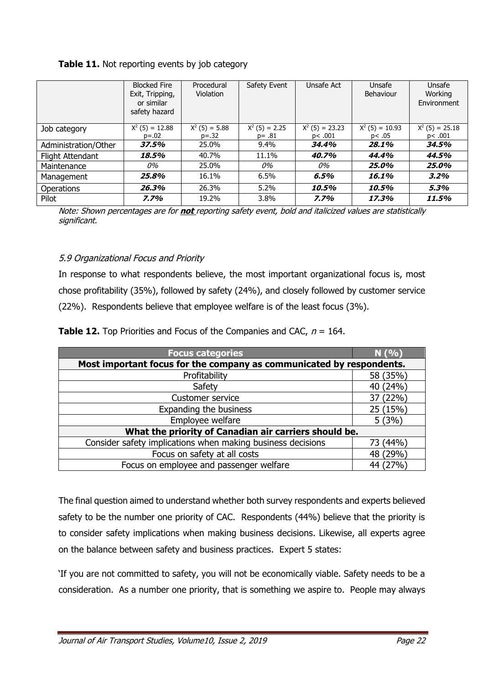|                      | <b>Blocked Fire</b><br>Exit, Tripping,<br>or similar<br>safety hazard | Procedural<br>Violation       | Safety Event                  | Unsafe Act                  | Unsafe<br>Behaviour        | Unsafe<br>Working<br>Environment |
|----------------------|-----------------------------------------------------------------------|-------------------------------|-------------------------------|-----------------------------|----------------------------|----------------------------------|
| Job category         | $X^2$ (5) = 12.88<br>$p = .02$                                        | $X^2$ (5) = 5.88<br>$p = .32$ | $X^2$ (5) = 2.25<br>$p = .81$ | $X^2$ (5) = 23.23<br>p<.001 | $X^2$ (5) = 10.93<br>p<.05 | $X^2$ (5) = 25.18<br>p<.001      |
| Administration/Other | 37.5%                                                                 | 25.0%                         | 9.4%                          | 34,4%                       | 28.1%                      | 34,5%                            |
| Flight Attendant     | 18.5%                                                                 | 40.7%                         | 11.1%                         | 40.7%                       | 44.4%                      | 44.5%                            |
| Maintenance          | 0%                                                                    | 25.0%                         | 0%                            | 0%                          | 25.0%                      | 25.0%                            |
| Management           | 25.8%                                                                 | 16.1%                         | 6.5%                          | 6.5%                        | 16.1%                      | 3.2%                             |
| <b>Operations</b>    | 26.3%                                                                 | 26.3%                         | $5.2\%$                       | 10.5%                       | 10.5%                      | 5.3%                             |
| Pilot                | 7.7%                                                                  | 19.2%                         | 3.8%                          | 7.7%                        | 17.3%                      | 11.5%                            |

## **Table 11.** Not reporting events by job category

Note: Shown percentages are for **not** reporting safety event, bold and italicized values are statistically significant.

## 5.9 Organizational Focus and Priority

In response to what respondents believe, the most important organizational focus is, most chose profitability (35%), followed by safety (24%), and closely followed by customer service (22%). Respondents believe that employee welfare is of the least focus (3%).

|  |  |  |  | <b>Table 12.</b> Top Priorities and Focus of the Companies and CAC, $n = 164$ . |
|--|--|--|--|---------------------------------------------------------------------------------|
|--|--|--|--|---------------------------------------------------------------------------------|

| <b>Focus categories</b>                                              | N(9/6)     |  |  |  |
|----------------------------------------------------------------------|------------|--|--|--|
|                                                                      |            |  |  |  |
| Most important focus for the company as communicated by respondents. |            |  |  |  |
| Profitability                                                        | 58 (35%)   |  |  |  |
| Safety                                                               | (24%<br>40 |  |  |  |
| <b>Customer service</b>                                              | 37 (22%)   |  |  |  |
| Expanding the business                                               | 25 (15%)   |  |  |  |
| Employee welfare                                                     | 5(3%)      |  |  |  |
| What the priority of Canadian air carriers should be.                |            |  |  |  |
| Consider safety implications when making business decisions          | (44% )     |  |  |  |
| Focus on safety at all costs                                         | (29%<br>48 |  |  |  |
| Focus on employee and passenger welfare                              | 44 (27%)   |  |  |  |

The final question aimed to understand whether both survey respondents and experts believed safety to be the number one priority of CAC. Respondents (44%) believe that the priority is to consider safety implications when making business decisions. Likewise, all experts agree on the balance between safety and business practices. Expert 5 states:

'If you are not committed to safety, you will not be economically viable. Safety needs to be a consideration. As a number one priority, that is something we aspire to. People may always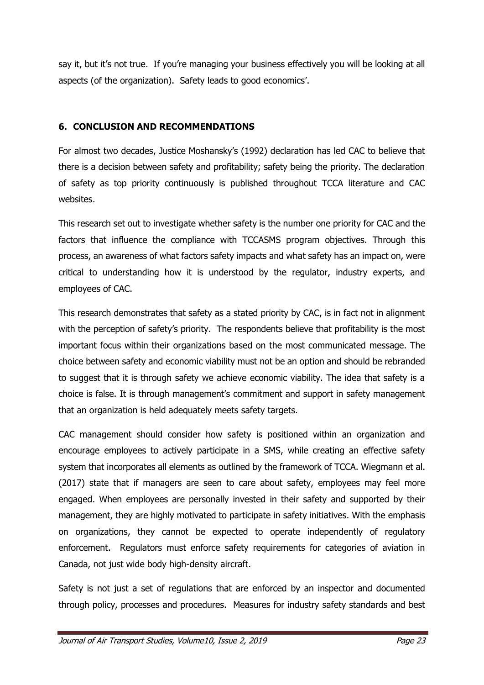say it, but it's not true. If you're managing your business effectively you will be looking at all aspects (of the organization). Safety leads to good economics'.

## **6. CONCLUSION AND RECOMMENDATIONS**

For almost two decades, Justice Moshansky's (1992) declaration has led CAC to believe that there is a decision between safety and profitability; safety being the priority. The declaration of safety as top priority continuously is published throughout TCCA literature and CAC websites.

This research set out to investigate whether safety is the number one priority for CAC and the factors that influence the compliance with TCCASMS program objectives. Through this process, an awareness of what factors safety impacts and what safety has an impact on, were critical to understanding how it is understood by the regulator, industry experts, and employees of CAC.

This research demonstrates that safety as a stated priority by CAC, is in fact not in alignment with the perception of safety's priority. The respondents believe that profitability is the most important focus within their organizations based on the most communicated message. The choice between safety and economic viability must not be an option and should be rebranded to suggest that it is through safety we achieve economic viability. The idea that safety is a choice is false. It is through management's commitment and support in safety management that an organization is held adequately meets safety targets.

CAC management should consider how safety is positioned within an organization and encourage employees to actively participate in a SMS, while creating an effective safety system that incorporates all elements as outlined by the framework of TCCA. Wiegmann et al. (2017) state that if managers are seen to care about safety, employees may feel more engaged. When employees are personally invested in their safety and supported by their management, they are highly motivated to participate in safety initiatives. With the emphasis on organizations, they cannot be expected to operate independently of regulatory enforcement. Regulators must enforce safety requirements for categories of aviation in Canada, not just wide body high-density aircraft.

Safety is not just a set of regulations that are enforced by an inspector and documented through policy, processes and procedures. Measures for industry safety standards and best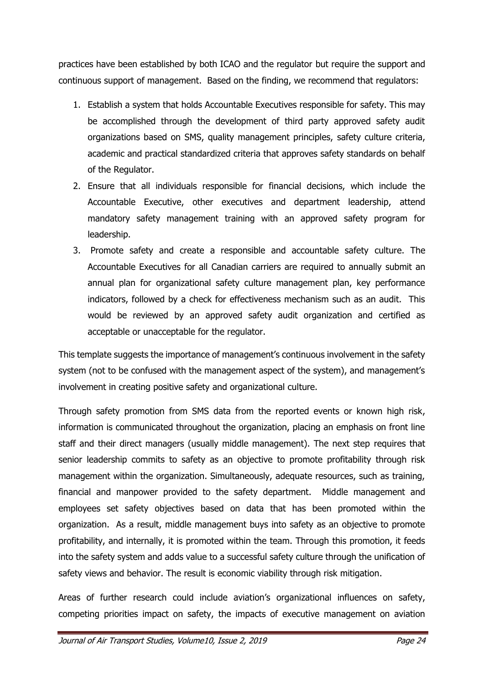practices have been established by both ICAO and the regulator but require the support and continuous support of management. Based on the finding, we recommend that regulators:

- 1. Establish a system that holds Accountable Executives responsible for safety. This may be accomplished through the development of third party approved safety audit organizations based on SMS, quality management principles, safety culture criteria, academic and practical standardized criteria that approves safety standards on behalf of the Regulator.
- 2. Ensure that all individuals responsible for financial decisions, which include the Accountable Executive, other executives and department leadership, attend mandatory safety management training with an approved safety program for leadership.
- 3. Promote safety and create a responsible and accountable safety culture. The Accountable Executives for all Canadian carriers are required to annually submit an annual plan for organizational safety culture management plan, key performance indicators, followed by a check for effectiveness mechanism such as an audit. This would be reviewed by an approved safety audit organization and certified as acceptable or unacceptable for the regulator.

This template suggests the importance of management's continuous involvement in the safety system (not to be confused with the management aspect of the system), and management's involvement in creating positive safety and organizational culture.

Through safety promotion from SMS data from the reported events or known high risk, information is communicated throughout the organization, placing an emphasis on front line staff and their direct managers (usually middle management). The next step requires that senior leadership commits to safety as an objective to promote profitability through risk management within the organization. Simultaneously, adequate resources, such as training, financial and manpower provided to the safety department. Middle management and employees set safety objectives based on data that has been promoted within the organization. As a result, middle management buys into safety as an objective to promote profitability, and internally, it is promoted within the team. Through this promotion, it feeds into the safety system and adds value to a successful safety culture through the unification of safety views and behavior. The result is economic viability through risk mitigation.

Areas of further research could include aviation's organizational influences on safety, competing priorities impact on safety, the impacts of executive management on aviation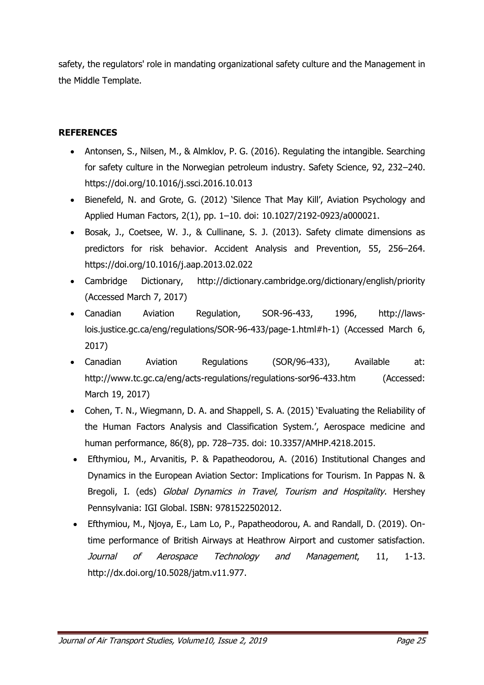safety, the regulators' role in mandating organizational safety culture and the Management in the Middle Template.

## **REFERENCES**

- Antonsen, S., Nilsen, M., & Almklov, P. G. (2016). Regulating the intangible. Searching for safety culture in the Norwegian petroleum industry. Safety Science, 92, 232–240. https://doi.org/10.1016/j.ssci.2016.10.013
- Bienefeld, N. and Grote, G. (2012) 'Silence That May Kill', Aviation Psychology and Applied Human Factors, 2(1), pp. 1–10. doi: 10.1027/2192-0923/a000021.
- Bosak, J., Coetsee, W. J., & Cullinane, S. J. (2013). Safety climate dimensions as predictors for risk behavior. Accident Analysis and Prevention, 55, 256–264. https://doi.org/10.1016/j.aap.2013.02.022
- Cambridge Dictionary, http://dictionary.cambridge.org/dictionary/english/priority (Accessed March 7, 2017)
- Canadian Aviation Regulation, SOR-96-433, 1996, http://lawslois.justice.gc.ca/eng/regulations/SOR-96-433/page-1.html#h-1) (Accessed March 6, 2017)
- Canadian Aviation Regulations (SOR/96-433), Available at: http://www.tc.gc.ca/eng/acts-regulations/regulations-sor96-433.htm (Accessed: March 19, 2017)
- Cohen, T. N., Wiegmann, D. A. and Shappell, S. A. (2015) 'Evaluating the Reliability of the Human Factors Analysis and Classification System.', Aerospace medicine and human performance, 86(8), pp. 728–735. doi: 10.3357/AMHP.4218.2015.
- Efthymiou, M., Arvanitis, P. & Papatheodorou, A. (2016) Institutional Changes and Dynamics in the European Aviation Sector: Implications for Tourism. In Pappas N. & Bregoli, I. (eds) Global Dynamics in Travel, Tourism and Hospitality. Hershey Pennsylvania: IGI Global. ISBN: 9781522502012.
- Efthymiou, M., Njoya, E., Lam Lo, P., Papatheodorou, A. and Randall, D. (2019). Ontime performance of British Airways at Heathrow Airport and customer satisfaction. Journal of Aerospace Technology and Management, 11, 1-13. http://dx.doi.org/10.5028/jatm.v11.977.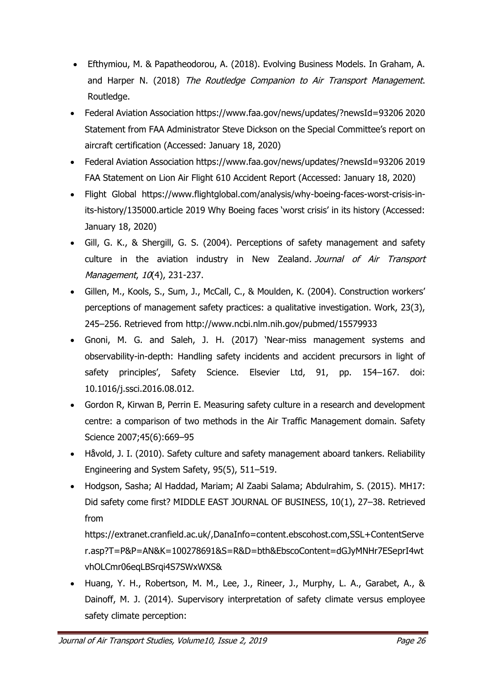- Efthymiou, M. & Papatheodorou, A. (2018). Evolving Business Models. In Graham, A. and Harper N. (2018) The Routledge Companion to Air Transport Management. Routledge.
- Federal Aviation Association https://www.faa.gov/news/updates/?newsId=93206 2020 Statement from FAA Administrator Steve Dickson on the Special Committee's report on aircraft certification (Accessed: January 18, 2020)
- Federal Aviation Association https://www.faa.gov/news/updates/?newsId=93206 2019 FAA Statement on Lion Air Flight 610 Accident Report (Accessed: January 18, 2020)
- Flight Global https://www.flightglobal.com/analysis/why-boeing-faces-worst-crisis-inits-history/135000.article 2019 Why Boeing faces 'worst crisis' in its history (Accessed: January 18, 2020)
- Gill, G. K., & Shergill, G. S. (2004). Perceptions of safety management and safety culture in the aviation industry in New Zealand. Journal of Air Transport Management, 10(4), 231-237.
- Gillen, M., Kools, S., Sum, J., McCall, C., & Moulden, K. (2004). Construction workers' perceptions of management safety practices: a qualitative investigation. Work, 23(3), 245–256. Retrieved from http://www.ncbi.nlm.nih.gov/pubmed/15579933
- Gnoni, M. G. and Saleh, J. H. (2017) 'Near-miss management systems and observability-in-depth: Handling safety incidents and accident precursors in light of safety principles', Safety Science. Elsevier Ltd, 91, pp. 154–167. doi: 10.1016/j.ssci.2016.08.012.
- Gordon R, Kirwan B, Perrin E. Measuring safety culture in a research and development centre: a comparison of two methods in the Air Traffic Management domain. Safety Science 2007;45(6):669–95
- Håvold, J. I. (2010). Safety culture and safety management aboard tankers. Reliability Engineering and System Safety, 95(5), 511–519.
- Hodgson, Sasha; Al Haddad, Mariam; Al Zaabi Salama; Abdulrahim, S. (2015). MH17: Did safety come first? MIDDLE EAST JOURNAL OF BUSINESS, 10(1), 27–38. Retrieved from

https://extranet.cranfield.ac.uk/,DanaInfo=content.ebscohost.com,SSL+ContentServe r.asp?T=P&P=AN&K=100278691&S=R&D=bth&EbscoContent=dGJyMNHr7ESeprI4wt vhOLCmr06eqLBSrqi4S7SWxWXS&

 Huang, Y. H., Robertson, M. M., Lee, J., Rineer, J., Murphy, L. A., Garabet, A., & Dainoff, M. J. (2014). Supervisory interpretation of safety climate versus employee safety climate perception: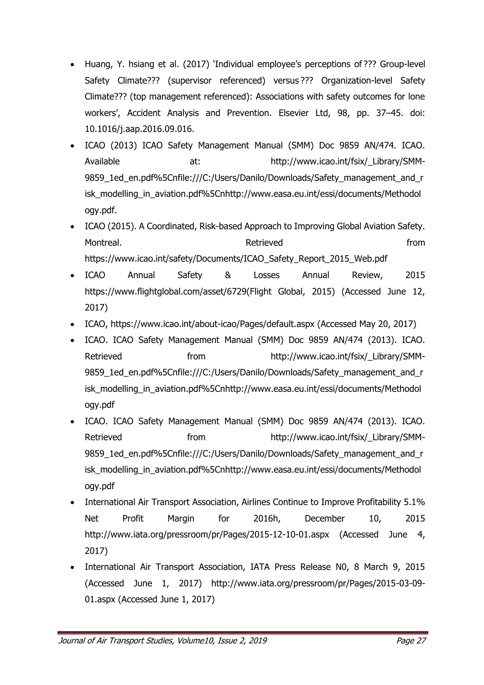- Huang, Y. hsiang et al. (2017) 'Individual employee's perceptions of ??? Group-level Safety Climate??? (supervisor referenced) versus ??? Organization-level Safety Climate??? (top management referenced): Associations with safety outcomes for lone workers', Accident Analysis and Prevention. Elsevier Ltd, 98, pp. 37–45. doi: 10.1016/j.aap.2016.09.016.
- ICAO (2013) ICAO Safety Management Manual (SMM) Doc 9859 AN/474. ICAO. Available at: at: http://www.icao.int/fsix/\_Library/SMM-9859\_1ed\_en.pdf%5Cnfile:///C:/Users/Danilo/Downloads/Safety\_management\_and\_r isk\_modelling\_in\_aviation.pdf%5Cnhttp://www.easa.eu.int/essi/documents/Methodol ogy.pdf.
- ICAO (2015). A Coordinated, Risk-based Approach to Improving Global Aviation Safety. Montreal. The control of the control of the Retrieved control of the from the from the from the from the from  $\mathbb{R}$ https://www.icao.int/safety/Documents/ICAO\_Safety\_Report\_2015\_Web.pdf
- ICAO Annual Safety & Losses Annual Review, 2015 https://www.flightglobal.com/asset/6729(Flight Global, 2015) (Accessed June 12, 2017)
- ICAO, https://www.icao.int/about-icao/Pages/default.aspx (Accessed May 20, 2017)
- ICAO. ICAO Safety Management Manual (SMM) Doc 9859 AN/474 (2013). ICAO. Retrieved **from** from http://www.icao.int/fsix/\_Library/SMM-9859\_1ed\_en.pdf%5Cnfile:///C:/Users/Danilo/Downloads/Safety\_management\_and\_r isk\_modelling\_in\_aviation.pdf%5Cnhttp://www.easa.eu.int/essi/documents/Methodol ogy.pdf
- ICAO. ICAO Safety Management Manual (SMM) Doc 9859 AN/474 (2013). ICAO. Retrieved from from http://www.icao.int/fsix/\_Library/SMM-9859\_1ed\_en.pdf%5Cnfile:///C:/Users/Danilo/Downloads/Safety\_management\_and\_r isk\_modelling\_in\_aviation.pdf%5Cnhttp://www.easa.eu.int/essi/documents/Methodol ogy.pdf
- International Air Transport Association, Airlines Continue to Improve Profitability 5.1% Net Profit Margin for 2016h, December 10, 2015 http://www.iata.org/pressroom/pr/Pages/2015-12-10-01.aspx (Accessed June 4, 2017)
- International Air Transport Association, IATA Press Release N0, 8 March 9, 2015 (Accessed June 1, 2017) http://www.iata.org/pressroom/pr/Pages/2015-03-09- 01.aspx (Accessed June 1, 2017)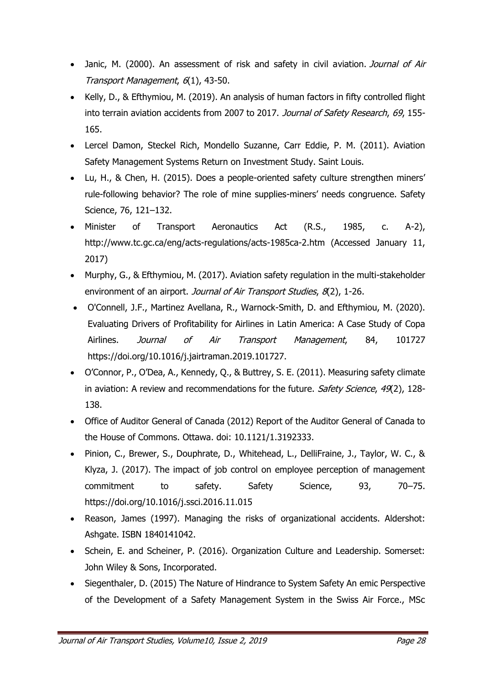- Janic, M. (2000). An assessment of risk and safety in civil aviation. Journal of Air Transport Management, 6(1), 43-50.
- Kelly, D., & Efthymiou, M. (2019). An analysis of human factors in fifty controlled flight into terrain aviation accidents from 2007 to 2017. Journal of Safety Research, 69, 155-165.
- Lercel Damon, Steckel Rich, Mondello Suzanne, Carr Eddie, P. M. (2011). Aviation Safety Management Systems Return on Investment Study. Saint Louis.
- Lu, H., & Chen, H. (2015). Does a people-oriented safety culture strengthen miners' rule-following behavior? The role of mine supplies-miners' needs congruence. Safety Science, 76, 121–132.
- Minister of Transport Aeronautics Act (R.S., 1985, c. A-2), http://www.tc.gc.ca/eng/acts-regulations/acts-1985ca-2.htm (Accessed January 11, 2017)
- Murphy, G., & Efthymiou, M. (2017). Aviation safety regulation in the multi-stakeholder environment of an airport. Journal of Air Transport Studies, 8(2), 1-26.
- O'Connell, J.F., Martinez Avellana, R., Warnock-Smith, D. and Efthymiou, M. (2020). Evaluating Drivers of Profitability for Airlines in Latin America: A Case Study of Copa Airlines. Journal of Air Transport Management, 84, 101727 https://doi.org/10.1016/j.jairtraman.2019.101727.
- O'Connor, P., O'Dea, A., Kennedy, Q., & Buttrey, S. E. (2011). Measuring safety climate in aviation: A review and recommendations for the future. Safety Science, 49(2), 128-138.
- Office of Auditor General of Canada (2012) Report of the Auditor General of Canada to the House of Commons. Ottawa. doi: 10.1121/1.3192333.
- Pinion, C., Brewer, S., Douphrate, D., Whitehead, L., DelliFraine, J., Taylor, W. C., & Klyza, J. (2017). The impact of job control on employee perception of management commitment to safety. Safety Science, 93, 70–75. https://doi.org/10.1016/j.ssci.2016.11.015
- Reason, James (1997). Managing the risks of organizational accidents. Aldershot: Ashgate. ISBN 1840141042.
- Schein, E. and Scheiner, P. (2016). Organization Culture and Leadership. Somerset: John Wiley & Sons, Incorporated.
- Siegenthaler, D. (2015) The Nature of Hindrance to System Safety An emic Perspective of the Development of a Safety Management System in the Swiss Air Force., MSc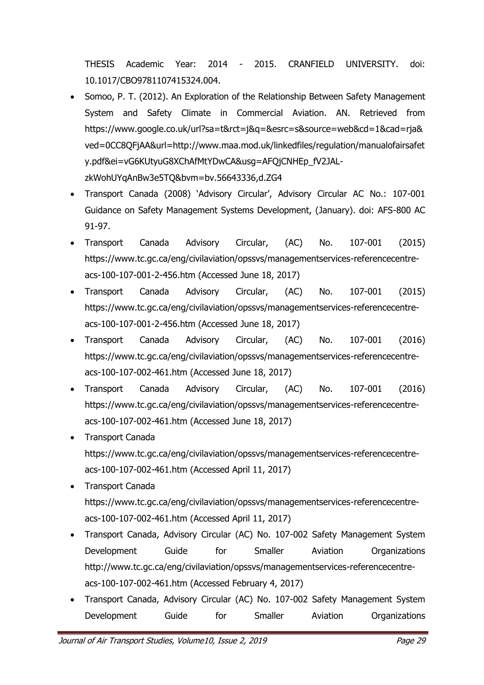THESIS Academic Year: 2014 - 2015. CRANFIELD UNIVERSITY. doi: 10.1017/CBO9781107415324.004.

- Somoo, P. T. (2012). An Exploration of the Relationship Between Safety Management System and Safety Climate in Commercial Aviation. AN. Retrieved from https://www.google.co.uk/url?sa=t&rct=j&q=&esrc=s&source=web&cd=1&cad=rja& ved=0CC8QFjAA&url=http://www.maa.mod.uk/linkedfiles/regulation/manualofairsafet y.pdf&ei=vG6KUtyuG8XChAfMtYDwCA&usg=AFQjCNHEp\_fV2JALzkWohUYqAnBw3e5TQ&bvm=bv.56643336,d.ZG4
- Transport Canada (2008) 'Advisory Circular', Advisory Circular AC No.: 107-001 Guidance on Safety Management Systems Development, (January). doi: AFS-800 AC 91-97.
- Transport Canada Advisory Circular, (AC) No. 107-001 (2015) https://www.tc.gc.ca/eng/civilaviation/opssvs/managementservices-referencecentreacs-100-107-001-2-456.htm (Accessed June 18, 2017)
- Transport Canada Advisory Circular, (AC) No. 107-001 (2015) https://www.tc.gc.ca/eng/civilaviation/opssvs/managementservices-referencecentreacs-100-107-001-2-456.htm (Accessed June 18, 2017)
- Transport Canada Advisory Circular, (AC) No. 107-001 (2016) https://www.tc.gc.ca/eng/civilaviation/opssvs/managementservices-referencecentreacs-100-107-002-461.htm (Accessed June 18, 2017)
- Transport Canada Advisory Circular, (AC) No. 107-001 (2016) https://www.tc.gc.ca/eng/civilaviation/opssvs/managementservices-referencecentreacs-100-107-002-461.htm (Accessed June 18, 2017)
- Transport Canada https://www.tc.gc.ca/eng/civilaviation/opssvs/managementservices-referencecentreacs-100-107-002-461.htm (Accessed April 11, 2017)
- Transport Canada https://www.tc.gc.ca/eng/civilaviation/opssvs/managementservices-referencecentreacs-100-107-002-461.htm (Accessed April 11, 2017)
- Transport Canada, Advisory Circular (AC) No. 107-002 Safety Management System Development Guide for Smaller Aviation Organizations http://www.tc.gc.ca/eng/civilaviation/opssvs/managementservices-referencecentreacs-100-107-002-461.htm (Accessed February 4, 2017)
- Transport Canada, Advisory Circular (AC) No. 107-002 Safety Management System Development Guide for Smaller Aviation Organizations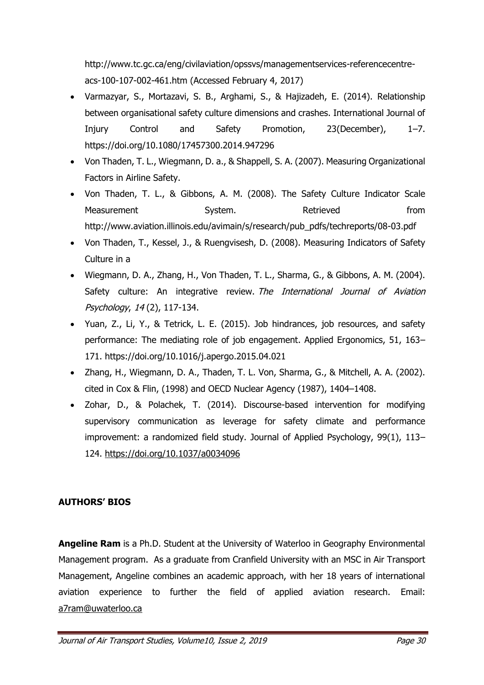http://www.tc.gc.ca/eng/civilaviation/opssvs/managementservices-referencecentreacs-100-107-002-461.htm (Accessed February 4, 2017)

- Varmazyar, S., Mortazavi, S. B., Arghami, S., & Hajizadeh, E. (2014). Relationship between organisational safety culture dimensions and crashes. International Journal of Injury Control and Safety Promotion, 23(December), 1–7. https://doi.org/10.1080/17457300.2014.947296
- Von Thaden, T. L., Wiegmann, D. a., & Shappell, S. A. (2007). Measuring Organizational Factors in Airline Safety.
- Von Thaden, T. L., & Gibbons, A. M. (2008). The Safety Culture Indicator Scale Measurement System. Retrieved from http://www.aviation.illinois.edu/avimain/s/research/pub\_pdfs/techreports/08-03.pdf
- Von Thaden, T., Kessel, J., & Ruengvisesh, D. (2008). Measuring Indicators of Safety Culture in a
- Wiegmann, D. A., Zhang, H., Von Thaden, T. L., Sharma, G., & Gibbons, A. M. (2004). Safety culture: An integrative review. The International Journal of Aviation Psychology, 14 (2), 117-134.
- Yuan, Z., Li, Y., & Tetrick, L. E. (2015). Job hindrances, job resources, and safety performance: The mediating role of job engagement. Applied Ergonomics, 51, 163– 171. https://doi.org/10.1016/j.apergo.2015.04.021
- Zhang, H., Wiegmann, D. A., Thaden, T. L. Von, Sharma, G., & Mitchell, A. A. (2002). cited in Cox & Flin, (1998) and OECD Nuclear Agency (1987), 1404–1408.
- Zohar, D., & Polachek, T. (2014). Discourse-based intervention for modifying supervisory communication as leverage for safety climate and performance improvement: a randomized field study. Journal of Applied Psychology, 99(1), 113– 124. https://doi.org/10.1037/a0034096

## **AUTHORS' BIOS**

**Angeline Ram** is a Ph.D. Student at the University of Waterloo in Geography Environmental Management program. As a graduate from Cranfield University with an MSC in Air Transport Management, Angeline combines an academic approach, with her 18 years of international aviation experience to further the field of applied aviation research. Email: a7ram@uwaterloo.ca